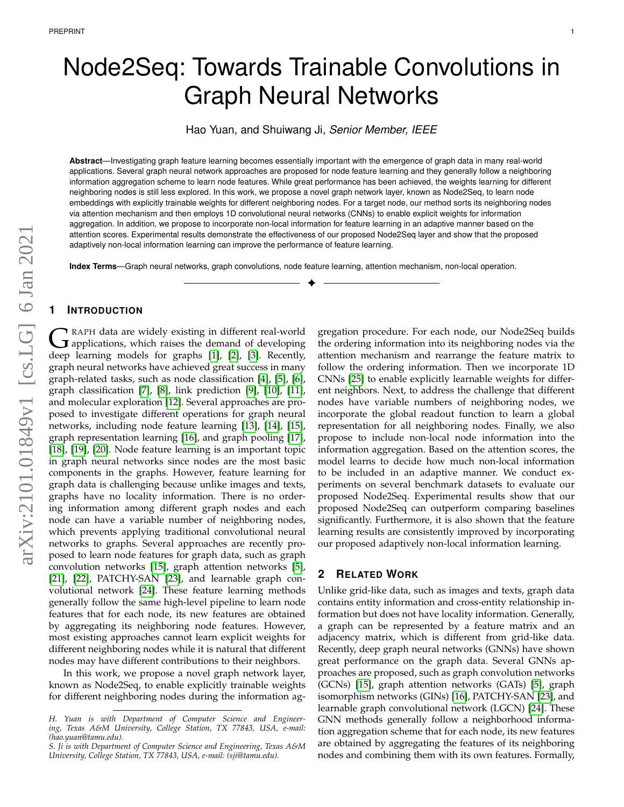# Node2Seq: Towards Trainable Convolutions in Graph Neural Networks

Hao Yuan, and Shuiwang Ji, *Senior Member, IEEE*

**Abstract**—Investigating graph feature learning becomes essentially important with the emergence of graph data in many real-world applications. Several graph neural network approaches are proposed for node feature learning and they generally follow a neighboring information aggregation scheme to learn node features. While great performance has been achieved, the weights learning for different neighboring nodes is still less explored. In this work, we propose a novel graph network layer, known as Node2Seq, to learn node embeddings with explicitly trainable weights for different neighboring nodes. For a target node, our method sorts its neighboring nodes via attention mechanism and then employs 1D convolutional neural networks (CNNs) to enable explicit weights for information aggregation. In addition, we propose to incorporate non-local information for feature learning in an adaptive manner based on the attention scores. Experimental results demonstrate the effectiveness of our proposed Node2Seq layer and show that the proposed adaptively non-local information learning can improve the performance of feature learning.

✦

**Index Terms**—Graph neural networks, graph convolutions, node feature learning, attention mechanism, non-local operation.

## **1 INTRODUCTION**

G RAPH data are widely existing in different real-world<br>deep learning models for graphs [\[1\]](#page-6-0), [\[2\]](#page-6-1), [\[3\]](#page-6-2). Recently, RAPH data are widely existing in different real-world  $\bf J$  applications, which raises the demand of developing graph neural networks have achieved great success in many graph-related tasks, such as node classification [\[4\]](#page-6-3), [\[5\]](#page-6-4), [\[6\]](#page-6-5), graph classification [\[7\]](#page-6-6), [\[8\]](#page-6-7), link prediction [\[9\]](#page-6-8), [\[10\]](#page-6-9), [\[11\]](#page-6-10), and molecular exploration [\[12\]](#page-6-11). Several approaches are proposed to investigate different operations for graph neural networks, including node feature learning [\[13\]](#page-6-12), [\[14\]](#page-6-13), [\[15\]](#page-6-14), graph representation learning [\[16\]](#page-6-15), and graph pooling [\[17\]](#page-6-16), [\[18\]](#page-6-17), [\[19\]](#page-6-18), [\[20\]](#page-6-19). Node feature learning is an important topic in graph neural networks since nodes are the most basic components in the graphs. However, feature learning for graph data is challenging because unlike images and texts, graphs have no locality information. There is no ordering information among different graph nodes and each node can have a variable number of neighboring nodes, which prevents applying traditional convolutional neural networks to graphs. Several approaches are recently proposed to learn node features for graph data, such as graph convolution networks [\[15\]](#page-6-14), graph attention networks [\[5\]](#page-6-4), [\[21\]](#page-6-20), [\[22\]](#page-6-21), PATCHY-SAN [\[23\]](#page-6-22), and learnable graph convolutional network [\[24\]](#page-6-23). These feature learning methods generally follow the same high-level pipeline to learn node features that for each node, its new features are obtained by aggregating its neighboring node features. However, most existing approaches cannot learn explicit weights for different neighboring nodes while it is natural that different nodes may have different contributions to their neighbors.

In this work, we propose a novel graph network layer, known as Node2Seq, to enable explicitly trainable weights for different neighboring nodes during the information aggregation procedure. For each node, our Node2Seq builds the ordering information into its neighboring nodes via the attention mechanism and rearrange the feature matrix to follow the ordering information. Then we incorporate 1D CNNs [\[25\]](#page-6-24) to enable explicitly learnable weights for different neighbors. Next, to address the challenge that different nodes have variable numbers of neighboring nodes, we incorporate the global readout function to learn a global representation for all neighboring nodes. Finally, we also propose to include non-local node information into the information aggregation. Based on the attention scores, the model learns to decide how much non-local information to be included in an adaptive manner. We conduct experiments on several benchmark datasets to evaluate our proposed Node2Seq. Experimental results show that our proposed Node2Seq can outperform comparing baselines significantly. Furthermore, it is also shown that the feature learning results are consistently improved by incorporating our proposed adaptively non-local information learning.

## **2 RELATED WORK**

Unlike grid-like data, such as images and texts, graph data contains entity information and cross-entity relationship information but does not have locality information. Generally, a graph can be represented by a feature matrix and an adjacency matrix, which is different from grid-like data. Recently, deep graph neural networks (GNNs) have shown great performance on the graph data. Several GNNs approaches are proposed, such as graph convolution networks (GCNs) [\[15\]](#page-6-14), graph attention networks (GATs) [\[5\]](#page-6-4), graph isomorphism networks (GINs) [\[16\]](#page-6-15), PATCHY-SAN [\[23\]](#page-6-22), and learnable graph convolutional network (LGCN) [\[24\]](#page-6-23). These GNN methods generally follow a neighborhood information aggregation scheme that for each node, its new features are obtained by aggregating the features of its neighboring nodes and combining them with its own features. Formally,

*H. Yuan is with Department of Computer Science and Engineering, Texas A&M University, College Station, TX 77843, USA, e-mail: (hao.yuan@tamu.edu).*

*S. Ji is with Department of Computer Science and Engineering, Texas A&M University, College Station, TX 77843, USA, e-mail: (sji@tamu.edu).*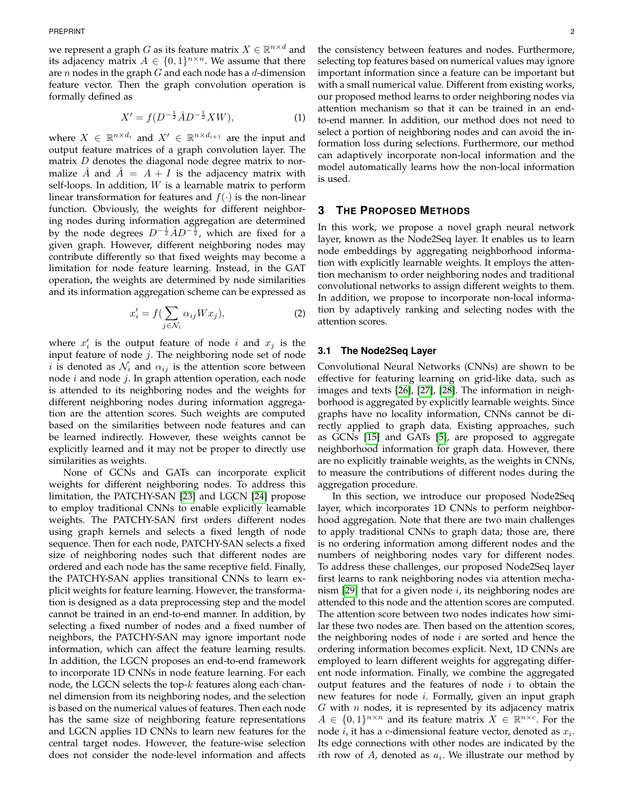we represent a graph  $G$  as its feature matrix  $X \in \mathbb{R}^{n \times d}$  and its adjacency matrix  $A \in \{0,1\}^{n \times n}$ . We assume that there are  $n$  nodes in the graph  $G$  and each node has a  $d$ -dimension feature vector. Then the graph convolution operation is formally defined as

$$
X' = f(D^{-\frac{1}{2}}\hat{A}D^{-\frac{1}{2}}XW),\tag{1}
$$

where  $X \in \mathbb{R}^{n \times d_i}$  and  $X' \in \mathbb{R}^{n \times d_{i+1}}$  are the input and output feature matrices of a graph convolution layer. The matrix D denotes the diagonal node degree matrix to normalize  $\hat{A}$  and  $\hat{A} = A + I$  is the adjacency matrix with self-loops. In addition,  $W$  is a learnable matrix to perform linear transformation for features and  $f(\cdot)$  is the non-linear function. Obviously, the weights for different neighboring nodes during information aggregation are determined by the node degrees  $D^{-\frac{1}{2}}AD^{-\frac{1}{2}}$ , which are fixed for a given graph. However, different neighboring nodes may contribute differently so that fixed weights may become a limitation for node feature learning. Instead, in the GAT operation, the weights are determined by node similarities and its information aggregation scheme can be expressed as

$$
x_i' = f\left(\sum_{j \in \mathcal{N}_i} \alpha_{ij} W x_j\right),\tag{2}
$$

where  $x'_i$  is the output feature of node i and  $x_j$  is the input feature of node  $j$ . The neighboring node set of node *i* is denoted as  $\mathcal{N}_i$  and  $\alpha_{ij}$  is the attention score between node  $i$  and node  $j$ . In graph attention operation, each node is attended to its neighboring nodes and the weights for different neighboring nodes during information aggregation are the attention scores. Such weights are computed based on the similarities between node features and can be learned indirectly. However, these weights cannot be explicitly learned and it may not be proper to directly use similarities as weights.

None of GCNs and GATs can incorporate explicit weights for different neighboring nodes. To address this limitation, the PATCHY-SAN [\[23\]](#page-6-22) and LGCN [\[24\]](#page-6-23) propose to employ traditional CNNs to enable explicitly learnable weights. The PATCHY-SAN first orders different nodes using graph kernels and selects a fixed length of node sequence. Then for each node, PATCHY-SAN selects a fixed size of neighboring nodes such that different nodes are ordered and each node has the same receptive field. Finally, the PATCHY-SAN applies transitional CNNs to learn explicit weights for feature learning. However, the transformation is designed as a data preprocessing step and the model cannot be trained in an end-to-end manner. In addition, by selecting a fixed number of nodes and a fixed number of neighbors, the PATCHY-SAN may ignore important node information, which can affect the feature learning results. In addition, the LGCN proposes an end-to-end framework to incorporate 1D CNNs in node feature learning. For each node, the LGCN selects the top- $k$  features along each channel dimension from its neighboring nodes, and the selection is based on the numerical values of features. Then each node has the same size of neighboring feature representations and LGCN applies 1D CNNs to learn new features for the central target nodes. However, the feature-wise selection does not consider the node-level information and affects

the consistency between features and nodes. Furthermore, selecting top features based on numerical values may ignore important information since a feature can be important but with a small numerical value. Different from existing works, our proposed method learns to order neighboring nodes via attention mechanism so that it can be trained in an endto-end manner. In addition, our method does not need to select a portion of neighboring nodes and can avoid the information loss during selections. Furthermore, our method can adaptively incorporate non-local information and the model automatically learns how the non-local information is used.

# **3 THE PROPOSED METHODS**

In this work, we propose a novel graph neural network layer, known as the Node2Seq layer. It enables us to learn node embeddings by aggregating neighborhood information with explicitly learnable weights. It employs the attention mechanism to order neighboring nodes and traditional convolutional networks to assign different weights to them. In addition, we propose to incorporate non-local information by adaptively ranking and selecting nodes with the attention scores.

### **3.1 The Node2Seq Layer**

Convolutional Neural Networks (CNNs) are shown to be effective for featuring learning on grid-like data, such as images and texts [\[26\]](#page-6-25), [\[27\]](#page-6-26), [\[28\]](#page-6-27). The information in neighborhood is aggregated by explicitly learnable weights. Since graphs have no locality information, CNNs cannot be directly applied to graph data. Existing approaches, such as GCNs [\[15\]](#page-6-14) and GATs [\[5\]](#page-6-4), are proposed to aggregate neighborhood information for graph data. However, there are no explicitly trainable weights, as the weights in CNNs, to measure the contributions of different nodes during the aggregation procedure.

In this section, we introduce our proposed Node2Seq layer, which incorporates 1D CNNs to perform neighborhood aggregation. Note that there are two main challenges to apply traditional CNNs to graph data; those are, there is no ordering information among different nodes and the numbers of neighboring nodes vary for different nodes. To address these challenges, our proposed Node2Seq layer first learns to rank neighboring nodes via attention mechanism  $[29]$  that for a given node i, its neighboring nodes are attended to this node and the attention scores are computed. The attention score between two nodes indicates how similar these two nodes are. Then based on the attention scores, the neighboring nodes of node  $i$  are sorted and hence the ordering information becomes explicit. Next, 1D CNNs are employed to learn different weights for aggregating different node information. Finally, we combine the aggregated output features and the features of node  $i$  to obtain the new features for node i. Formally, given an input graph  $G$  with  $n$  nodes, it is represented by its adjacency matrix  $A \in \{0,1\}^{n \times n}$  and its feature matrix  $X \in \mathbb{R}^{n \times c}$ . For the node  $i$ , it has a c-dimensional feature vector, denoted as  $x_i$ . Its edge connections with other nodes are indicated by the *i*th row of  $A$ , denoted as  $a_i$ . We illustrate our method by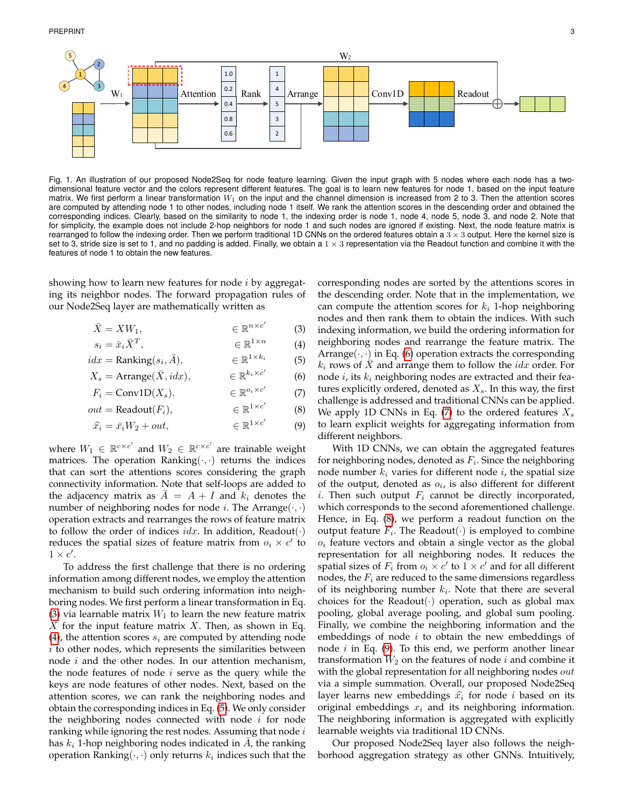

<span id="page-2-7"></span>Fig. 1. An illustration of our proposed Node2Seq for node feature learning. Given the input graph with 5 nodes where each node has a twodimensional feature vector and the colors represent different features. The goal is to learn new features for node 1, based on the input feature matrix. We first perform a linear transformation  $W_1$  on the input and the channel dimension is increased from 2 to 3. Then the attention scores are computed by attending node 1 to other nodes, including node 1 itself. We rank the attention scores in the descending order and obtained the corresponding indices. Clearly, based on the similarity to node 1, the indexing order is node 1, node 4, node 5, node 3, and node 2. Note that for simplicity, the example does not include 2-hop neighbors for node 1 and such nodes are ignored if existing. Next, the node feature matrix is rearranged to follow the indexing order. Then we perform traditional 1D CNNs on the ordered features obtain a  $3 \times 3$  output. Here the kernel size is set to 3, stride size is set to 1, and no padding is added. Finally, we obtain a  $1 \times 3$  representation via the Readout function and combine it with the features of node 1 to obtain the new features.

showing how to learn new features for node  $i$  by aggregating its neighbor nodes. The forward propagation rules of our Node2Seq layer are mathematically written as

$$
\bar{X} = XW_1, \qquad \qquad \in \mathbb{R}^{n \times c'} \qquad (3)
$$

$$
s_i = \bar{x}_i \bar{X}^T, \qquad \qquad \in \mathbb{R}^{1 \times n} \tag{4}
$$

$$
idx = \text{Ranking}(s_i, \bar{A}), \qquad \in \mathbb{R}^{1 \times k_i} \tag{5}
$$

 $X_s = \text{Arrange}(\bar{X}, i dx),$  $k_i \times c'$ (6)

$$
F_i = \text{Conv1D}(X_s), \qquad \qquad \in \mathbb{R}^{o_i \times c'} \tag{7}
$$

$$
out = \text{Readout}(F_i), \qquad \qquad \in \mathbb{R}^{1 \times c'} \qquad (8)
$$

$$
\widehat{x}_i = \bar{x}_i W_2 + out, \qquad \qquad \in \mathbb{R}^{1 \times c'} \qquad (9)
$$

where  $W_1 \in \mathbb{R}^{c \times c'}$  and  $W_2 \in \mathbb{R}^{c \times c'}$  are trainable weight matrices. The operation Ranking $(\cdot, \cdot)$  returns the indices that can sort the attentions scores considering the graph connectivity information. Note that self-loops are added to the adjacency matrix as  $\overline{A} = A + I$  and  $k_i$  denotes the number of neighboring nodes for node *i*. The Arrange $(\cdot, \cdot)$ operation extracts and rearranges the rows of feature matrix to follow the order of indices *idx*. In addition, Readout $(\cdot)$ reduces the spatial sizes of feature matrix from  $o_i \times c'$  to  $1 \times c'.$ 

To address the first challenge that there is no ordering information among different nodes, we employ the attention mechanism to build such ordering information into neighboring nodes. We first perform a linear transformation in Eq. [\(3\)](#page-2-0) via learnable matrix  $W_1$  to learn the new feature matrix X for the input feature matrix X. Then, as shown in Eq. [\(4\)](#page-2-1), the attention scores  $s_i$  are computed by attending node  $i$  to other nodes, which represents the similarities between node  $i$  and the other nodes. In our attention mechanism, the node features of node  $i$  serve as the query while the keys are node features of other nodes. Next, based on the attention scores, we can rank the neighboring nodes and obtain the corresponding indices in Eq. [\(5\)](#page-2-2). We only consider the neighboring nodes connected with node  $i$  for node ranking while ignoring the rest nodes. Assuming that node  $i$ has  $k_i$  1-hop neighboring nodes indicated in  $\overline{A}$ , the ranking operation Ranking $(\cdot,\cdot)$  only returns  $k_i$  indices such that the

<span id="page-2-2"></span><span id="page-2-1"></span><span id="page-2-0"></span>corresponding nodes are sorted by the attentions scores in the descending order. Note that in the implementation, we can compute the attention scores for  $k_i$  1-hop neighboring nodes and then rank them to obtain the indices. With such indexing information, we build the ordering information for neighboring nodes and rearrange the feature matrix. The Arrange $(\cdot, \cdot)$  in Eq. [\(6\)](#page-2-3) operation extracts the corresponding  $k_i$  rows of X and arrange them to follow the  $idx$  order. For node  $i$ , its  $k_i$  neighboring nodes are extracted and their features explicitly ordered, denoted as  $X_s$ . In this way, the first challenge is addressed and traditional CNNs can be applied. We apply 1D CNNs in Eq. [\(7\)](#page-2-4) to the ordered features  $X_s$ to learn explicit weights for aggregating information from different neighbors.

<span id="page-2-6"></span><span id="page-2-5"></span><span id="page-2-4"></span><span id="page-2-3"></span>With 1D CNNs, we can obtain the aggregated features for neighboring nodes, denoted as  $F_i.$  Since the neighboring node number  $k_i$  varies for different node  $i$ , the spatial size of the output, denoted as  $o_i$ , is also different for different *i*. Then such output  $F_i$  cannot be directly incorporated, which corresponds to the second aforementioned challenge. Hence, in Eq. [\(8\)](#page-2-5), we perform a readout function on the output feature  $F_i$ . The Readout $(\cdot)$  is employed to combine  $o_i$  feature vectors and obtain a single vector as the global representation for all neighboring nodes. It reduces the spatial sizes of  $F_i$  from  $o_i \times c'$  to  $1 \times c'$  and for all different nodes, the  $F_i$  are reduced to the same dimensions regardless of its neighboring number  $k_i$ . Note that there are several choices for the Readout( $\cdot$ ) operation, such as global max pooling, global average pooling, and global sum pooling. Finally, we combine the neighboring information and the embeddings of node  $i$  to obtain the new embeddings of node  $i$  in Eq. [\(9\)](#page-2-6). To this end, we perform another linear transformation  $W_2$  on the features of node  $i$  and combine it with the global representation for all neighboring nodes  $out$ via a simple summation. Overall, our proposed Node2Seq layer learns new embeddings  $\hat{x}_i$  for node *i* based on its original embeddings  $x_i$  and its neighboring information. The neighboring information is aggregated with explicitly learnable weights via traditional 1D CNNs.

Our proposed Node2Seq layer also follows the neighborhood aggregation strategy as other GNNs. Intuitively,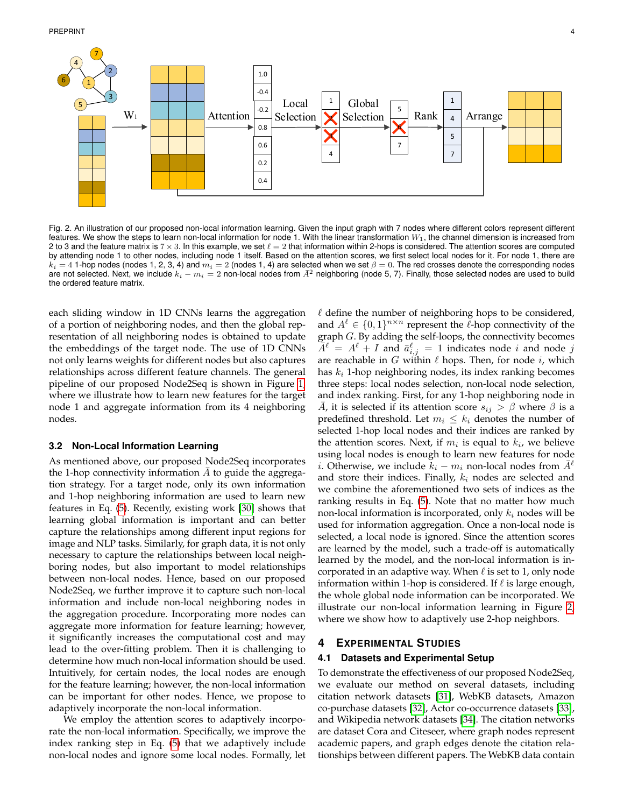

<span id="page-3-0"></span>Fig. 2. An illustration of our proposed non-local information learning. Given the input graph with 7 nodes where different colors represent different features. We show the steps to learn non-local information for node 1. With the linear transformation  $W_1$ , the channel dimension is increased from 2 to 3 and the feature matrix is  $7 \times 3$ . In this example, we set  $\ell = 2$  that information within 2-hops is considered. The attention scores are computed by attending node 1 to other nodes, including node 1 itself. Based on the attention scores, we first select local nodes for it. For node 1, there are  $k_i = 4$  1-hop nodes (nodes 1, 2, 3, 4) and  $m_i = 2$  (nodes 1, 4) are selected when we set  $\beta = 0$ . The red crosses denote the corresponding nodes are not selected. Next, we include  $k_i - m_i = 2$  non-local nodes from  $\bar{A}^2$  neighboring (node 5, 7). Finally, those selected nodes are used to build the ordered feature matrix.

each sliding window in 1D CNNs learns the aggregation of a portion of neighboring nodes, and then the global representation of all neighboring nodes is obtained to update the embeddings of the target node. The use of 1D CNNs not only learns weights for different nodes but also captures relationships across different feature channels. The general pipeline of our proposed Node2Seq is shown in Figure [1,](#page-2-7) where we illustrate how to learn new features for the target node 1 and aggregate information from its 4 neighboring nodes.

#### <span id="page-3-1"></span>**3.2 Non-Local Information Learning**

As mentioned above, our proposed Node2Seq incorporates the 1-hop connectivity information  $A$  to guide the aggregation strategy. For a target node, only its own information and 1-hop neighboring information are used to learn new features in Eq. [\(5\)](#page-2-2). Recently, existing work [\[30\]](#page-6-29) shows that learning global information is important and can better capture the relationships among different input regions for image and NLP tasks. Similarly, for graph data, it is not only necessary to capture the relationships between local neighboring nodes, but also important to model relationships between non-local nodes. Hence, based on our proposed Node2Seq, we further improve it to capture such non-local information and include non-local neighboring nodes in the aggregation procedure. Incorporating more nodes can aggregate more information for feature learning; however, it significantly increases the computational cost and may lead to the over-fitting problem. Then it is challenging to determine how much non-local information should be used. Intuitively, for certain nodes, the local nodes are enough for the feature learning; however, the non-local information can be important for other nodes. Hence, we propose to adaptively incorporate the non-local information.

We employ the attention scores to adaptively incorporate the non-local information. Specifically, we improve the index ranking step in Eq. [\(5\)](#page-2-2) that we adaptively include non-local nodes and ignore some local nodes. Formally, let

 $\ell$  define the number of neighboring hops to be considered, and  $A^{\ell} \in \{0,1\}^{n \times n}$  represent the  $\ell$ -hop connectivity of the graph G. By adding the self-loops, the connectivity becomes  $\overline{A}^{\ell} = A^{\ell} + I$  and  $\overline{a}^{\ell}_{i,j} = 1$  indicates node i and node j are reachable in G within  $\ell$  hops. Then, for node i, which has  $k_i$  1-hop neighboring nodes, its index ranking becomes three steps: local nodes selection, non-local node selection, and index ranking. First, for any 1-hop neighboring node in A, it is selected if its attention score  $s_{ij} > \beta$  where  $\beta$  is a predefined threshold. Let  $m_i \leq k_i$  denotes the number of selected 1-hop local nodes and their indices are ranked by the attention scores. Next, if  $m_i$  is equal to  $k_i$ , we believe using local nodes is enough to learn new features for node *i*. Otherwise, we include  $k_i - m_i$  non-local nodes from  $\overline{A}^{\ell}$ and store their indices. Finally,  $k_i$  nodes are selected and we combine the aforementioned two sets of indices as the ranking results in Eq. [\(5\)](#page-2-2). Note that no matter how much non-local information is incorporated, only  $k_i$  nodes will be used for information aggregation. Once a non-local node is selected, a local node is ignored. Since the attention scores are learned by the model, such a trade-off is automatically learned by the model, and the non-local information is incorporated in an adaptive way. When  $\ell$  is set to 1, only node information within 1-hop is considered. If  $\ell$  is large enough, the whole global node information can be incorporated. We illustrate our non-local information learning in Figure [2,](#page-3-0) where we show how to adaptively use 2-hop neighbors.

## **4 EXPERIMENTAL STUDIES**

## **4.1 Datasets and Experimental Setup**

To demonstrate the effectiveness of our proposed Node2Seq, we evaluate our method on several datasets, including citation network datasets [\[31\]](#page-6-30), WebKB datasets, Amazon co-purchase datasets [\[32\]](#page-7-0), Actor co-occurrence datasets [\[33\]](#page-7-1), and Wikipedia network datasets [\[34\]](#page-7-2). The citation networks are dataset Cora and Citeseer, where graph nodes represent academic papers, and graph edges denote the citation relationships between different papers. The WebKB data contain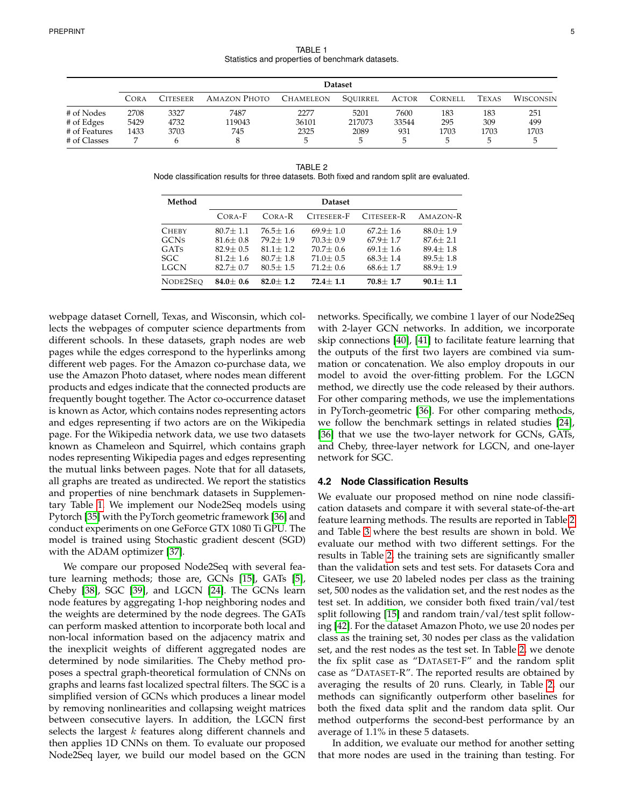TABLE 1 Statistics and properties of benchmark datasets.

<span id="page-4-1"></span><span id="page-4-0"></span>

|               | <b>Dataset</b> |                 |                     |                  |          |              |         |              |                  |
|---------------|----------------|-----------------|---------------------|------------------|----------|--------------|---------|--------------|------------------|
|               | CORA           | <b>CITESEER</b> | <b>AMAZON PHOTO</b> | <b>CHAMELEON</b> | SOUIRREL | <b>ACTOR</b> | CORNELL | <b>TEXAS</b> | <b>WISCONSIN</b> |
| # of Nodes    | 2708           | 3327            | 7487                | 2277             | 5201     | 7600         | 183     | 183          | 251              |
| # of Edges    | 5429           | 4732            | 119043              | 36101            | 217073   | 33544        | 295     | 309          | 499              |
| # of Features | 1433           | 3703            | 745                 | 2325             | 2089     | 931          | 1703    | 1703         | 1703             |
| # of Classes  |                |                 |                     | 5                |          |              | 5       |              |                  |

TABLE 2 Node classification results for three datasets. Both fixed and random split are evaluated.

| Method       | <b>Dataset</b> |              |              |              |                |  |  |
|--------------|----------------|--------------|--------------|--------------|----------------|--|--|
|              | CORA-F         | $CORA-R$     | CITESEER-F   | CITESEER-R   | AMAZON-R       |  |  |
| <b>CHEBY</b> | $80.7 + 1.1$   | $76.5 + 1.6$ | $69.9 + 1.0$ | $67.2 + 1.6$ | $88.0 \pm 1.9$ |  |  |
| <b>GCNS</b>  | $81.6 + 0.8$   | $79.2 + 1.9$ | $70.3 + 0.9$ | $67.9 + 1.7$ | $87.6 + 2.1$   |  |  |
| GATS         | $82.9 + 0.5$   | $81.1 + 1.2$ | $70.7 + 0.6$ | $69.1 + 1.6$ | $89.4 + 1.8$   |  |  |
| <b>SGC</b>   | $81.2 + 1.6$   | $80.7 + 1.8$ | $71.0 + 0.5$ | $68.3 + 1.4$ | $89.5 + 1.8$   |  |  |
| <b>LGCN</b>  | $82.7 + 0.7$   | $80.5 + 1.5$ | $71.2 + 0.6$ | $68.6 + 1.7$ | $88.9 + 1.9$   |  |  |
| NODE2SEO     | $84.0 + 0.6$   | $82.0 + 1.2$ | $72.4 + 1.1$ | $70.8 + 1.7$ | $90.1 + 1.1$   |  |  |

webpage dataset Cornell, Texas, and Wisconsin, which collects the webpages of computer science departments from different schools. In these datasets, graph nodes are web pages while the edges correspond to the hyperlinks among different web pages. For the Amazon co-purchase data, we use the Amazon Photo dataset, where nodes mean different products and edges indicate that the connected products are frequently bought together. The Actor co-occurrence dataset is known as Actor, which contains nodes representing actors and edges representing if two actors are on the Wikipedia page. For the Wikipedia network data, we use two datasets known as Chameleon and Squirrel, which contains graph nodes representing Wikipedia pages and edges representing the mutual links between pages. Note that for all datasets, all graphs are treated as undirected. We report the statistics and properties of nine benchmark datasets in Supplementary Table [1.](#page-4-0) We implement our Node2Seq models using Pytorch [\[35\]](#page-7-3) with the PyTorch geometric framework [\[36\]](#page-7-4) and conduct experiments on one GeForce GTX 1080 Ti GPU. The model is trained using Stochastic gradient descent (SGD) with the ADAM optimizer [\[37\]](#page-7-5).

We compare our proposed Node2Seq with several feature learning methods; those are, GCNs [\[15\]](#page-6-14), GATs [\[5\]](#page-6-4), Cheby [\[38\]](#page-7-6), SGC [\[39\]](#page-7-7), and LGCN [\[24\]](#page-6-23). The GCNs learn node features by aggregating 1-hop neighboring nodes and the weights are determined by the node degrees. The GATs can perform masked attention to incorporate both local and non-local information based on the adjacency matrix and the inexplicit weights of different aggregated nodes are determined by node similarities. The Cheby method proposes a spectral graph-theoretical formulation of CNNs on graphs and learns fast localized spectral filters. The SGC is a simplified version of GCNs which produces a linear model by removing nonlinearities and collapsing weight matrices between consecutive layers. In addition, the LGCN first selects the largest  $k$  features along different channels and then applies 1D CNNs on them. To evaluate our proposed Node2Seq layer, we build our model based on the GCN

networks. Specifically, we combine 1 layer of our Node2Seq with 2-layer GCN networks. In addition, we incorporate skip connections [\[40\]](#page-7-8), [\[41\]](#page-7-9) to facilitate feature learning that the outputs of the first two layers are combined via summation or concatenation. We also employ dropouts in our model to avoid the over-fitting problem. For the LGCN method, we directly use the code released by their authors. For other comparing methods, we use the implementations in PyTorch-geometric [\[36\]](#page-7-4). For other comparing methods, we follow the benchmark settings in related studies [\[24\]](#page-6-23), [\[36\]](#page-7-4) that we use the two-layer network for GCNs, GATs, and Cheby, three-layer network for LGCN, and one-layer network for SGC.

## **4.2 Node Classification Results**

We evaluate our proposed method on nine node classification datasets and compare it with several state-of-the-art feature learning methods. The results are reported in Table [2](#page-4-1) and Table [3](#page-5-0) where the best results are shown in bold. We evaluate our method with two different settings. For the results in Table [2,](#page-4-1) the training sets are significantly smaller than the validation sets and test sets. For datasets Cora and Citeseer, we use 20 labeled nodes per class as the training set, 500 nodes as the validation set, and the rest nodes as the test set. In addition, we consider both fixed train/val/test split following [\[15\]](#page-6-14) and random train/val/test split following [\[42\]](#page-7-10). For the dataset Amazon Photo, we use 20 nodes per class as the training set, 30 nodes per class as the validation set, and the rest nodes as the test set. In Table [2,](#page-4-1) we denote the fix split case as "DATASET-F" and the random split case as "DATASET-R". The reported results are obtained by averaging the results of 20 runs. Clearly, in Table [2,](#page-4-1) our methods can significantly outperform other baselines for both the fixed data split and the random data split. Our method outperforms the second-best performance by an average of 1.1% in these 5 datasets.

In addition, we evaluate our method for another setting that more nodes are used in the training than testing. For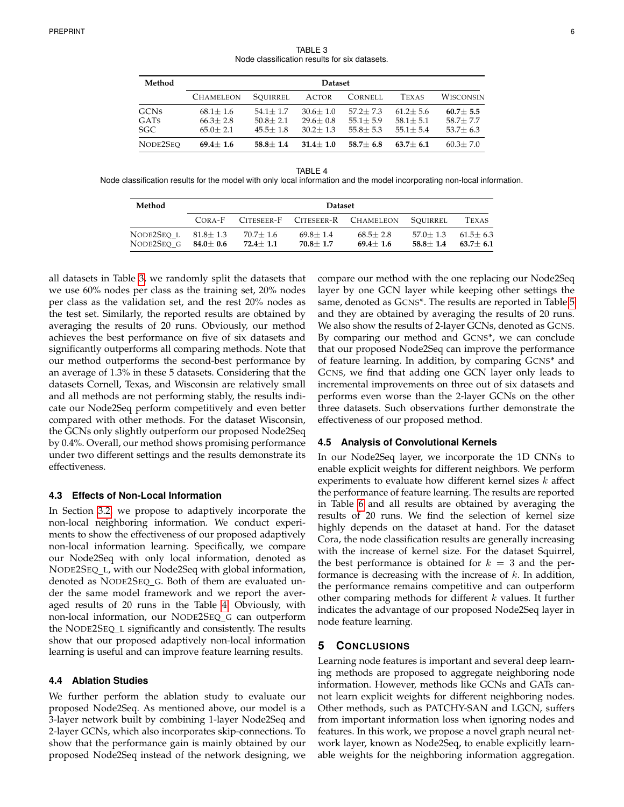TABLE 3 Node classification results for six datasets.

<span id="page-5-0"></span>

| Method      | <b>Dataset</b>   |              |              |              |              |              |  |
|-------------|------------------|--------------|--------------|--------------|--------------|--------------|--|
|             | <b>CHAMELEON</b> | SOUIRREL     | <b>ACTOR</b> | CORNELL      | <b>TEXAS</b> | WISCONSIN    |  |
| <b>GCNS</b> | $68.1 + 1.6$     | $54.1 + 1.7$ | $30.6 + 1.0$ | $57.2 + 7.3$ | $61.2 + 5.6$ | $60.7 + 5.5$ |  |
| GATS        | $66.3 + 2.8$     | $50.8 + 2.1$ | $29.6 + 0.8$ | $55.1 + 5.9$ | $58.1 + 5.1$ | $58.7 + 7.7$ |  |
| <b>SGC</b>  | $65.0 + 2.1$     | $45.5 + 1.8$ | $30.2 + 1.3$ | $55.8 + 5.3$ | $55.1 + 5.4$ | $53.7 + 6.3$ |  |
| NODE2SEO    | $69.4 + 1.6$     | $58.8 + 1.4$ | $31.4 + 1.0$ | $58.7 + 6.8$ | $63.7 + 6.1$ | $60.3 + 7.0$ |  |

<span id="page-5-1"></span>TABLE 4 Node classification results for the model with only local information and the model incorporating non-local information.

| Method                   | <b>Dataset</b>               |                              |                              |                               |                              |                              |  |
|--------------------------|------------------------------|------------------------------|------------------------------|-------------------------------|------------------------------|------------------------------|--|
|                          | $CORA-F$                     | CITESEER-F                   |                              | CITESEER-R CHAMELEON SOUIRREL |                              | <b>TEXAS</b>                 |  |
| NODE2SEO L<br>NODE2SEO G | $81.8 + 1.3$<br>$84.0 + 0.6$ | $70.7 + 1.6$<br>$72.4 + 1.1$ | $69.8 + 1.4$<br>$70.8 + 1.7$ | $68.5 + 2.8$<br>$69.4 + 1.6$  | $57.0 + 1.3$<br>$58.8 + 1.4$ | $61.5 + 6.3$<br>$63.7 + 6.1$ |  |

all datasets in Table [3,](#page-5-0) we randomly split the datasets that we use 60% nodes per class as the training set, 20% nodes per class as the validation set, and the rest 20% nodes as the test set. Similarly, the reported results are obtained by averaging the results of 20 runs. Obviously, our method achieves the best performance on five of six datasets and significantly outperforms all comparing methods. Note that our method outperforms the second-best performance by an average of 1.3% in these 5 datasets. Considering that the datasets Cornell, Texas, and Wisconsin are relatively small and all methods are not performing stably, the results indicate our Node2Seq perform competitively and even better compared with other methods. For the dataset Wisconsin, the GCNs only slightly outperform our proposed Node2Seq by 0.4%. Overall, our method shows promising performance under two different settings and the results demonstrate its effectiveness.

## **4.3 Effects of Non-Local Information**

In Section [3.2,](#page-3-1) we propose to adaptively incorporate the non-local neighboring information. We conduct experiments to show the effectiveness of our proposed adaptively non-local information learning. Specifically, we compare our Node2Seq with only local information, denoted as NODE2SEQ L, with our Node2Seq with global information, denoted as NODE2SEQ\_G. Both of them are evaluated under the same model framework and we report the averaged results of 20 runs in the Table [4.](#page-5-1) Obviously, with non-local information, our NODE2SEQ G can outperform the NODE2SEQ L significantly and consistently. The results show that our proposed adaptively non-local information learning is useful and can improve feature learning results.

#### **4.4 Ablation Studies**

We further perform the ablation study to evaluate our proposed Node2Seq. As mentioned above, our model is a 3-layer network built by combining 1-layer Node2Seq and 2-layer GCNs, which also incorporates skip-connections. To show that the performance gain is mainly obtained by our proposed Node2Seq instead of the network designing, we compare our method with the one replacing our Node2Seq layer by one GCN layer while keeping other settings the same, denoted as GCNS\*. The results are reported in Table [5](#page-6-31) and they are obtained by averaging the results of 20 runs. We also show the results of 2-layer GCNs, denoted as GCNS. By comparing our method and GCNS\*, we can conclude that our proposed Node2Seq can improve the performance of feature learning. In addition, by comparing GCNS\* and GCNS, we find that adding one GCN layer only leads to incremental improvements on three out of six datasets and performs even worse than the 2-layer GCNs on the other three datasets. Such observations further demonstrate the effectiveness of our proposed method.

## **4.5 Analysis of Convolutional Kernels**

In our Node2Seq layer, we incorporate the 1D CNNs to enable explicit weights for different neighbors. We perform experiments to evaluate how different kernel sizes  $k$  affect the performance of feature learning. The results are reported in Table [6](#page-6-32) and all results are obtained by averaging the results of 20 runs. We find the selection of kernel size highly depends on the dataset at hand. For the dataset Cora, the node classification results are generally increasing with the increase of kernel size. For the dataset Squirrel, the best performance is obtained for  $k = 3$  and the performance is decreasing with the increase of  $k$ . In addition, the performance remains competitive and can outperform other comparing methods for different  $k$  values. It further indicates the advantage of our proposed Node2Seq layer in node feature learning.

## **5 CONCLUSIONS**

Learning node features is important and several deep learning methods are proposed to aggregate neighboring node information. However, methods like GCNs and GATs cannot learn explicit weights for different neighboring nodes. Other methods, such as PATCHY-SAN and LGCN, suffers from important information loss when ignoring nodes and features. In this work, we propose a novel graph neural network layer, known as Node2Seq, to enable explicitly learnable weights for the neighboring information aggregation.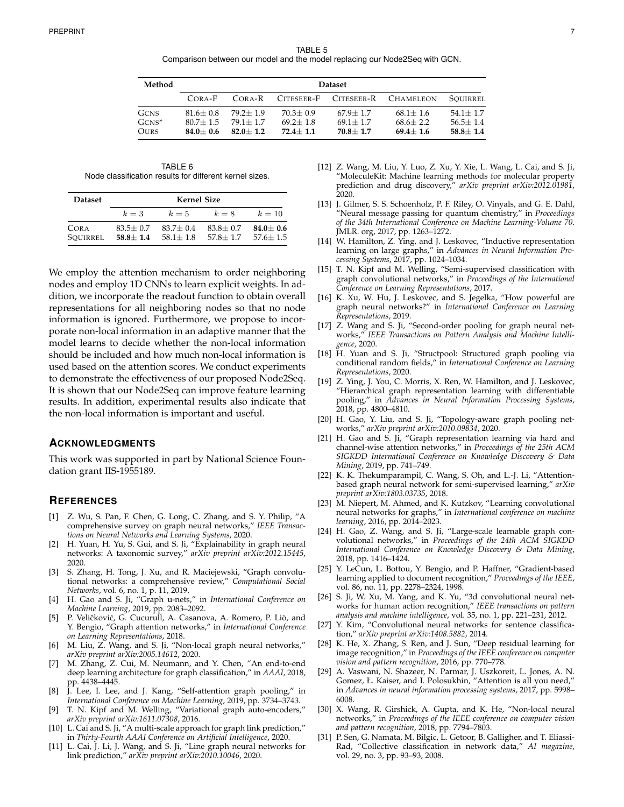<span id="page-6-31"></span>

| Method                                 | <b>Dataset</b>                               |                                              |                                              |                                              |                                              |                                              |  |  |
|----------------------------------------|----------------------------------------------|----------------------------------------------|----------------------------------------------|----------------------------------------------|----------------------------------------------|----------------------------------------------|--|--|
|                                        | CORA-F                                       | CORA-R                                       | CITESEER-F                                   |                                              | CITESEER-R CHAMELEON                         | SOUIRREL                                     |  |  |
| <b>GCNS</b><br>$GCNS^*$<br><b>OURS</b> | $81.6 + 0.8$<br>$80.7 + 1.5$<br>$84.0 + 0.6$ | $79.2 + 1.9$<br>$79.1 + 1.7$<br>$82.0 + 1.2$ | $70.3 + 0.9$<br>$69.2 + 1.8$<br>$72.4 + 1.1$ | $67.9 + 1.7$<br>$69.1 + 1.7$<br>$70.8 + 1.7$ | $68.1 + 1.6$<br>$68.6 + 2.2$<br>$69.4 + 1.6$ | $54.1 + 1.7$<br>$56.5 + 1.4$<br>$58.8 + 1.4$ |  |  |

TABLE 6 Node classification results for different kernel sizes.

<span id="page-6-32"></span>

| <b>Dataset</b>   |                              | <b>Kernel Size</b>           |                              |                              |
|------------------|------------------------------|------------------------------|------------------------------|------------------------------|
|                  | $k=3$                        | $k=5$                        | $k=8$                        | $k=10$                       |
| CORA<br>SOUIRREL | $83.5 + 0.7$<br>$58.8 + 1.4$ | $83.7 + 0.4$<br>$58.1 + 1.8$ | $83.8 + 0.7$<br>$57.8 + 1.7$ | $84.0 + 0.6$<br>$57.6 + 1.5$ |

We employ the attention mechanism to order neighboring nodes and employ 1D CNNs to learn explicit weights. In addition, we incorporate the readout function to obtain overall representations for all neighboring nodes so that no node information is ignored. Furthermore, we propose to incorporate non-local information in an adaptive manner that the model learns to decide whether the non-local information should be included and how much non-local information is used based on the attention scores. We conduct experiments to demonstrate the effectiveness of our proposed Node2Seq. It is shown that our Node2Seq can improve feature learning results. In addition, experimental results also indicate that the non-local information is important and useful.

## **ACKNOWLEDGMENTS**

This work was supported in part by National Science Foundation grant IIS-1955189.

#### **REFERENCES**

- <span id="page-6-0"></span>[1] Z. Wu, S. Pan, F. Chen, G. Long, C. Zhang, and S. Y. Philip, "A comprehensive survey on graph neural networks," *IEEE Transactions on Neural Networks and Learning Systems*, 2020.
- <span id="page-6-1"></span>[2] H. Yuan, H. Yu, S. Gui, and S. Ji, "Explainability in graph neural networks: A taxonomic survey," *arXiv preprint arXiv:2012.15445*, 2020.
- <span id="page-6-2"></span>[3] S. Zhang, H. Tong, J. Xu, and R. Maciejewski, "Graph convolutional networks: a comprehensive review," *Computational Social Networks*, vol. 6, no. 1, p. 11, 2019.
- <span id="page-6-3"></span>[4] H. Gao and S. Ji, "Graph u-nets," in *International Conference on Machine Learning*, 2019, pp. 2083–2092.
- <span id="page-6-4"></span>P. Veličković, G. Cucurull, A. Casanova, A. Romero, P. Liò, and Y. Bengio, "Graph attention networks," in *International Conference on Learning Representations*, 2018.
- <span id="page-6-5"></span>[6] M. Liu, Z. Wang, and S. Ji, "Non-local graph neural networks," *arXiv preprint arXiv:2005.14612*, 2020.
- <span id="page-6-6"></span>M. Zhang, Z. Cui, M. Neumann, and Y. Chen, "An end-to-end deep learning architecture for graph classification," in *AAAI*, 2018, pp. 4438–4445.
- <span id="page-6-7"></span>[8] J. Lee, I. Lee, and J. Kang, "Self-attention graph pooling," in *International Conference on Machine Learning*, 2019, pp. 3734–3743.
- <span id="page-6-8"></span>T. N. Kipf and M. Welling, "Variational graph auto-encoders," *arXiv preprint arXiv:1611.07308*, 2016.
- <span id="page-6-9"></span>[10] L. Cai and S. Ji, "A multi-scale approach for graph link prediction," in *Thirty-Fourth AAAI Conference on Artificial Intelligence*, 2020.
- <span id="page-6-10"></span>[11] L. Cai, J. Li, J. Wang, and S. Ji, "Line graph neural networks for link prediction," *arXiv preprint arXiv:2010.10046*, 2020.
- <span id="page-6-11"></span>[12] Z. Wang, M. Liu, Y. Luo, Z. Xu, Y. Xie, L. Wang, L. Cai, and S. Ji, "MoleculeKit: Machine learning methods for molecular property prediction and drug discovery," *arXiv preprint arXiv:2012.01981*, 2020.
- <span id="page-6-12"></span>[13] J. Gilmer, S. S. Schoenholz, P. F. Riley, O. Vinyals, and G. E. Dahl, "Neural message passing for quantum chemistry," in *Proceedings of the 34th International Conference on Machine Learning-Volume 70*. JMLR. org, 2017, pp. 1263–1272.
- <span id="page-6-13"></span>[14] W. Hamilton, Z. Ying, and J. Leskovec, "Inductive representation learning on large graphs," in *Advances in Neural Information Processing Systems*, 2017, pp. 1024–1034.
- <span id="page-6-14"></span>[15] T. N. Kipf and M. Welling, "Semi-supervised classification with graph convolutional networks," in *Proceedings of the International Conference on Learning Representations*, 2017.
- <span id="page-6-15"></span>[16] K. Xu, W. Hu, J. Leskovec, and S. Jegelka, "How powerful are graph neural networks?" in *International Conference on Learning Representations*, 2019.
- <span id="page-6-16"></span>[17] Z. Wang and S. Ji, "Second-order pooling for graph neural networks," *IEEE Transactions on Pattern Analysis and Machine Intelligence*, 2020.
- <span id="page-6-17"></span>[18] H. Yuan and S. Ji, "Structpool: Structured graph pooling via conditional random fields," in *International Conference on Learning Representations*, 2020.
- <span id="page-6-18"></span>[19] Z. Ying, J. You, C. Morris, X. Ren, W. Hamilton, and J. Leskovec, "Hierarchical graph representation learning with differentiable pooling," in *Advances in Neural Information Processing Systems*, 2018, pp. 4800–4810.
- <span id="page-6-19"></span>[20] H. Gao, Y. Liu, and S. Ji, "Topology-aware graph pooling networks," *arXiv preprint arXiv:2010.09834*, 2020.
- <span id="page-6-20"></span>[21] H. Gao and S. Ji, "Graph representation learning via hard and channel-wise attention networks," in *Proceedings of the 25th ACM SIGKDD International Conference on Knowledge Discovery & Data Mining*, 2019, pp. 741–749.
- <span id="page-6-21"></span>[22] K. K. Thekumparampil, C. Wang, S. Oh, and L.-J. Li, "Attentionbased graph neural network for semi-supervised learning," *arXiv preprint arXiv:1803.03735*, 2018.
- <span id="page-6-22"></span>[23] M. Niepert, M. Ahmed, and K. Kutzkov, "Learning convolutional neural networks for graphs," in *International conference on machine learning*, 2016, pp. 2014–2023.
- <span id="page-6-23"></span>[24] H. Gao, Z. Wang, and S. Ji, "Large-scale learnable graph convolutional networks," in *Proceedings of the 24th ACM SIGKDD International Conference on Knowledge Discovery & Data Mining*, 2018, pp. 1416–1424.
- <span id="page-6-24"></span>[25] Y. LeCun, L. Bottou, Y. Bengio, and P. Haffner, "Gradient-based learning applied to document recognition," *Proceedings of the IEEE*, vol. 86, no. 11, pp. 2278–2324, 1998.
- <span id="page-6-25"></span>[26] S. Ji, W. Xu, M. Yang, and K. Yu, "3d convolutional neural networks for human action recognition," *IEEE transactions on pattern analysis and machine intelligence*, vol. 35, no. 1, pp. 221–231, 2012.
- <span id="page-6-26"></span>[27] Y. Kim, "Convolutional neural networks for sentence classification," *arXiv preprint arXiv:1408.5882*, 2014.
- <span id="page-6-27"></span>[28] K. He, X. Zhang, S. Ren, and J. Sun, "Deep residual learning for image recognition," in *Proceedings of the IEEE conference on computer vision and pattern recognition*, 2016, pp. 770–778.
- <span id="page-6-28"></span>[29] A. Vaswani, N. Shazeer, N. Parmar, J. Uszkoreit, L. Jones, A. N. Gomez, Ł. Kaiser, and I. Polosukhin, "Attention is all you need," in *Advances in neural information processing systems*, 2017, pp. 5998– 6008.
- <span id="page-6-29"></span>[30] X. Wang, R. Girshick, A. Gupta, and K. He, "Non-local neural networks," in *Proceedings of the IEEE conference on computer vision and pattern recognition*, 2018, pp. 7794–7803.
- <span id="page-6-30"></span>[31] P. Sen, G. Namata, M. Bilgic, L. Getoor, B. Galligher, and T. Eliassi-Rad, "Collective classification in network data," *AI magazine*, vol. 29, no. 3, pp. 93–93, 2008.